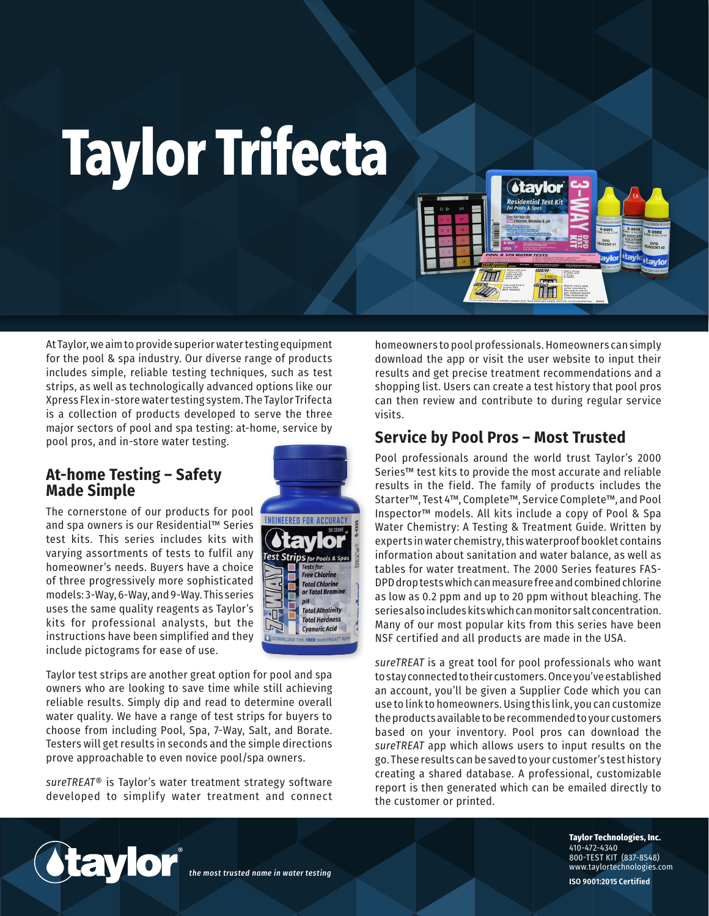## **Taylor Trifecta**

At Taylor, we aim to provide superior water testing equipment for the pool & spa industry. Our diverse range of products includes simple, reliable testing techniques, such as test strips, as well as technologically advanced options like our Xpress Flex in-store water testing system. The Taylor Trifecta is a collection of products developed to serve the three major sectors of pool and spa testing: at-home, service by pool pros, and in-store water testing.

## **At-home Testing – Safety Made Simple**

The cornerstone of our products for pool and spa owners is our Residential™ Series test kits. This series includes kits with varying assortments of tests to fulfil any homeowner's needs. Buyers have a choice of three progressively more sophisticated models: 3-Way, 6-Way, and 9-Way. This series uses the same quality reagents as Taylor's kits for professional analysts, but the instructions have been simplified and they include pictograms for ease of use.

**Free Chlorine Total Chlorine**<br>or Total Bromi **Total Alkalinity Total Hardness Cyanuric Acid** 

Taylor test strips are another great option for pool and spa owners who are looking to save time while still achieving reliable results. Simply dip and read to determine overall water quality. We have a range of test strips for buyers to choose from including Pool, Spa, 7-Way, Salt, and Borate. Testers will get results in seconds and the simple directions prove approachable to even novice pool/spa owners.

*sureTREAT*® is Taylor's water treatment strategy software developed to simplify water treatment and connect



homeowners to pool professionals. Homeowners can simply download the app or visit the user website to input their results and get precise treatment recommendations and a shopping list. Users can create a test history that pool pros can then review and contribute to during regular service visits.

**Atavior** Residential Test Kit

AT

## **Service by Pool Pros – Most Trusted**

TTTI **Allen** 

Pool professionals around the world trust Taylor's 2000 Series™ test kits to provide the most accurate and reliable results in the field. The family of products includes the Starter™, Test 4™, Complete™, Service Complete™, and Pool Inspector™ models. All kits include a copy of Pool & Spa Water Chemistry: A Testing & Treatment Guide. Written by experts in water chemistry, this waterproof booklet contains information about sanitation and water balance, as well as tables for water treatment. The 2000 Series features FAS-DPD drop tests which can measure free and combined chlorine as low as 0.2 ppm and up to 20 ppm without bleaching. The series also includes kits which can monitor salt concentration. Many of our most popular kits from this series have been NSF certified and all products are made in the USA.

*sureTREAT* is a great tool for pool professionals who want to stay connected to their customers. Once you've established an account, you'll be given a Supplier Code which you can use to link to homeowners. Using this link, you can customize the products available to be recommended to your customers based on your inventory. Pool pros can download the *sureTREAT* app which allows users to input results on the go. These results can be saved to your customer's test history creating a shared database. A professional, customizable report is then generated which can be emailed directly to the customer or printed.



*the most trusted name in water testing*

**Taylor Technologies, Inc.** 410-472-4340 800-TEST KIT (837-8548) www.taylortechnologies.com

**ISO 9001:2015 Certified**